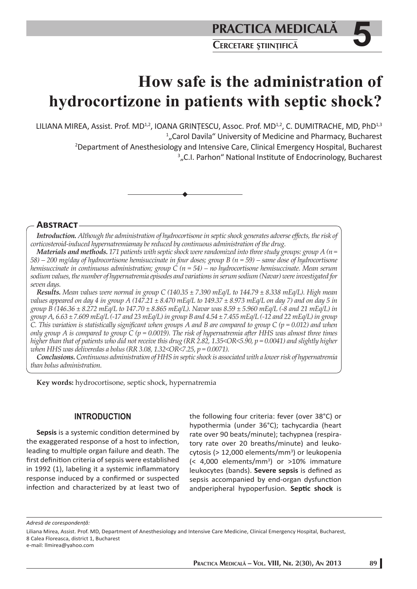# **How safe is the administration of hydrocortizone in patients with septic shock?**

LILIANA MIREA, Assist. Prof. MD<sup>1,2</sup>, IOANA GRINȚESCU, Assoc. Prof. MD<sup>1,2</sup>, C. DUMITRACHE, MD, PhD<sup>1,3</sup> <sup>1</sup>"Carol Davila" University of Medicine and Pharmacy, Bucharest <sup>1</sup>,,Carol Davila" University of Medicine and Pharmacy, Bucharest<br><sup>2</sup>Department of Anesthesiology and Intensive Care, Clinical Emergency Hospital, Bucharest <sup>3</sup>"C.I. Parhon" National Institute of Endocrinology, Bucharest



## **ABSTRACT**

Introduction. Although the administration of hydrocortisone in septic shock generates adverse effects, the risk of *corticosteroid-induced hypernatremiamay be reduced by continuous administration of the drug.*

*Materials and methods. 171 patients with septic shock were randomized into three study groups: group A (n = 58) – 200 mg/day of hydrocortisone hemisuccinate in four doses; group B (n = 59) – same dose of hydrocortisone hemisuccinate in continuous administration; group C (n = 54) – no hydrocortisone hemisuccinate. Mean serum sodium values, the number of hypernatremia episodes and variations in serum sodium (Navar) were investigated for seven days.*

*Results. Mean values were normal in group C (140.35 ± 7.390 mEq/L to 144.79 ± 8.338 mEq/L). High mean values appeared on day 4 in group A (147.21 ± 8.470 mEq/L to 149.37 ± 8.973 mEq/L on day 7) and on day 5 in group B (146.36 ± 8.272 mEq/L to 147.70 ± 8.865 mEq/L). Navar was 8.59 ± 5.960 mEq/L (-8 and 21 mEq/L) in group A, 6.63 ± 7.609 mEq/L (-17 and 23 mEq/L) in group B and 4.54 ± 7.455 mEq/L (-12 and 22 mEq/L) in group C. This variation is statistically significant when groups A and B are compared to group C (p = 0.012) and when only group A is compared to group C (p = 0.0019). The risk of hypernatremia aft er HHS was almost three times higher than that of patients who did not receive this drug (RR 2.82, 1.35<OR<5.90, p = 0.0041) and slightly higher when HHS was deliveredas a bolus (RR 3.08, 1.32<OR<7.25, p = 0.0071).*

*Conclusions. Continuous administration of HHS in septic shock is associated with a lower risk of hypernatremia than bolus administration.*

**Key words:** hydrocortisone, septic shock, hypernatremia

## **INTRODUCTION**

**Sepsis** is a systemic condition determined by the exaggerated response of a host to infection, leading to multiple organ failure and death. The first definition criteria of sepsis were established in 1992 (1), labeling it a systemic inflammatory response induced by a confirmed or suspected infection and characterized by at least two of the following four criteria: fever (over 38°C) or hypothermia (under 36°C); tachycardia (heart rate over 90 beats/minute); tachypnea (respiratory rate over 20 breaths/minute) and leukocytosis (> 12,000 elements/mm<sup>3</sup>) or leukopenia  $\left($  < 4,000 elements/mm<sup>3</sup>) or >10% immature leukocytes (bands). Severe sepsis is defined as sepsis accompanied by end-organ dysfunction andperipheral hypoperfusion. **Septi c shock** is

*Adresă de corespondenţă:* 

Liliana Mirea, Assist. Prof. MD, Department of Anesthesiology and Intensive Care Medicine, Clinical Emergency Hospital, Bucharest, 8 Calea Floreasca, district 1, Bucharest

e-mail: llmirea@yahoo.com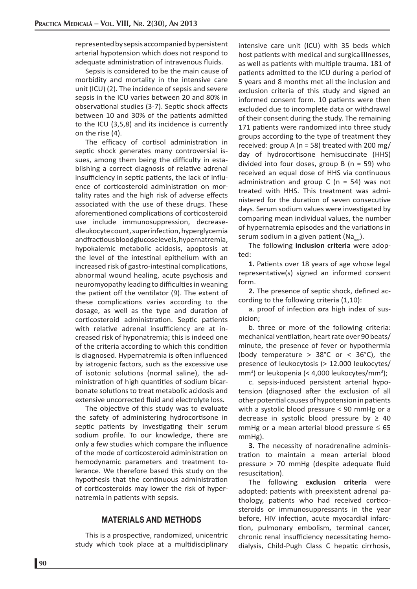represented by sepsis accompanied by persistent arterial hypotension which does not respond to adequate administration of intravenous fluids.

Sepsis is considered to be the main cause of morbidity and mortality in the intensive care unit (ICU) (2). The incidence of sepsis and severe sepsis in the ICU varies between 20 and 80% in observational studies (3-7). Septic shock affects between 10 and 30% of the patients admitted to the ICU (3,5,8) and its incidence is currently on the rise (4).

The efficacy of cortisol administration in septic shock generates many controversial issues, among them being the difficulty in establishing a correct diagnosis of relative adrenal insufficiency in septic patients, the lack of influence of corticosteroid administration on mortality rates and the high risk of adverse effects associated with the use of these drugs. These aforementioned complications of corticosteroid use include immunosuppression, decreasedleukocyte count, superinfection, hyperglycemia andfractious blood glucoselevels, hypernatremia, hypokalemic metabolic acidosis, apoptosis at the level of the intestinal epithelium with an increased risk of gastro-intestinal complications, abnormal wound healing, acute psychosis and neuromyopathy leading to difficulties in weaning the patient off the ventilator (9). The extent of these complications varies according to the dosage, as well as the type and duration of corticosteroid administration. Septic patients with relative adrenal insufficiency are at increased risk of hyponatremia; this is indeed one of the criteria according to which this condition is diagnosed. Hypernatremia is often influenced by iatrogenic factors, such as the excessive use of isotonic solutions (normal saline), the administration of high quantities of sodium bicarbonate solutions to treat metabolic acidosis and extensive uncorrected fluid and electrolyte loss.

The objective of this study was to evaluate the safety of administering hydrocortisone in septic patients by investigating their serum sodium profile. To our knowledge, there are only a few studies which compare the influence of the mode of corticosteroid administration on hemodynamic parameters and treatment tolerance. We therefore based this study on the hypothesis that the continuous administration of corticosteroids may lower the risk of hypernatremia in patients with sepsis.

# **MATERIALS AND METHODS**

This is a prospective, randomized, unicentric study which took place at a multidisciplinary

intensive care unit (ICU) with 35 beds which host patients with medical and surgicalillnesses, as well as patients with multiple trauma. 181 of patients admitted to the ICU during a period of 5 years and 8 months met all the inclusion and exclusion criteria of this study and signed an informed consent form. 10 patients were then excluded due to incomplete data or withdrawal of their consent during the study. The remaining 171 patients were randomized into three study groups according to the type of treatment they received: group A ( $n = 58$ ) treated with 200 mg/ day of hydrocortisone hemisuccinate (HHS) divided into four doses, group  $B(n = 59)$  who received an equal dose of HHS via continuous administration and group C ( $n = 54$ ) was not treated with HHS. This treatment was administered for the duration of seven consecutive days. Serum sodium values were investigated by comparing mean individual values, the number of hypernatremia episodes and the variations in serum sodium in a given patient (Na<sub>var</sub>).

The following **inclusion criteria** were adopted:

**1.** Patients over 18 years of age whose legal representative(s) signed an informed consent form.

**2.** The presence of septic shock, defined according to the following criteria (1,10):

a. proof of infection **or**a high index of suspicion;

b. three or more of the following criteria: mechanical ventilation, heart rate over 90 beats/ minute, the presence of fever or hypothermia (body temperature  $> 38^{\circ}$ C or < 36 $^{\circ}$ C), the presence of leukocytosis (> 12.000 leukocytes/ mm<sup>3</sup>) or leukopenia (< 4,000 leukocytes/mm<sup>3</sup>);

c. sepsis-induced persistent arterial hypotension (diagnosed after the exclusion of all other potential causes of hypotension in patients with a systolic blood pressure < 90 mmHg or a decrease in systolic blood pressure by  $\geq 40$ mmHg or a mean arterial blood pressure  $\leq 65$ mmHg).

**3.** The necessity of noradrenaline administration to maintain a mean arterial blood pressure > 70 mmHg (despite adequate fluid resuscitation).

The following **exclusion criteria** were adopted: patients with preexistent adrenal pathology, patients who had received corticosteroids or immunosuppressants in the year before, HIV infection, acute myocardial infarction, pulmonary embolism, terminal cancer, chronic renal insufficiency necessitating hemodialysis, Child-Pugh Class C hepatic cirrhosis,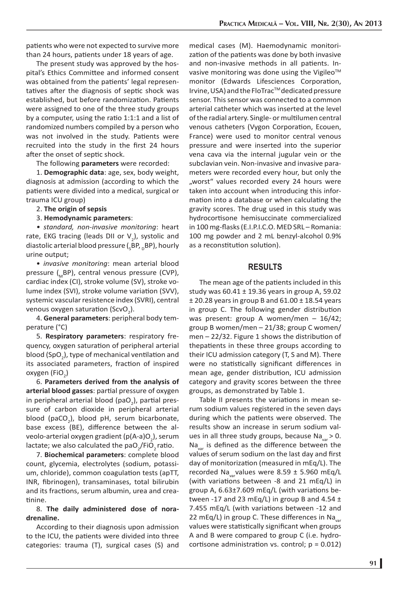patients who were not expected to survive more than 24 hours, patients under 18 years of age.

The present study was approved by the hospital's Ethics Committee and informed consent was obtained from the patients' legal representatives after the diagnosis of septic shock was established, but before randomization. Patients were assigned to one of the three study groups by a computer, using the ratio  $1:1:1$  and a list of randomized numbers compiled by a person who was not involved in the study. Patients were recruited into the study in the first 24 hours after the onset of septic shock.

The following **parameters** were recorded:

1. **Demographic data**: age, sex, body weight, diagnosis at admission (according to which the patients were divided into a medical, surgical or trauma ICU group)

- 2. **The origin of sepsis**
- 3. **Hemodynamic parameters**:

*• standard, non-invasive monitoring*: heart rate, EKG tracing (leads DII or  $V_2$ ), systolic and diastolic arterial blood pressure ( $_{\textrm{\tiny{S}}}$ BP,  $_{\textrm{\tiny{D}}}$ BP), hourly urine output;

• *invasive monitoring*: mean arterial blood pressure (BP), central venous pressure (CVP), cardiac index (CI), stroke volume (SV), stroke volume index (SVI), stroke volume variation (SVV), systemic vascular resistence index (SVRI), central venous oxygen saturation (ScvO<sub>2</sub>).

4. **General parameters**: peripheral body temperature (°C)

5. **Respiratory parameters**: respiratory frequency, oxygen saturation of peripheral arterial blood (SpO<sub>2</sub>), type of mechanical ventilation and its associated parameters, fraction of inspired oxygen (FiO<sub>2</sub>)

6. **Parameters derived from the analysis of**  arterial blood gasses: partial pressure of oxygen in peripheral arterial blood (pa $O_2$ ), partial pressure of carbon dioxide in peripheral arterial blood (paCO<sub>2</sub>), blood pH, serum bicarbonate, base excess (BE), difference between the alveolo-arterial oxygen gradient (p(A-a)O<sub>2</sub>), serum lactate; we also calculated the pa $O_2$ /FiO<sub>2</sub> ratio.

7. **Biochemical parameters**: complete blood count, glycemia, electrolytes (sodium, potassium, chloride), common coagulation tests (apTT, INR, fibrinogen), transaminases, total bilirubin and its fractions, serum albumin, urea and creatinine.

#### 8. **The daily administered dose of noradrenaline.**

According to their diagnosis upon admission to the ICU, the patients were divided into three categories: trauma (T), surgical cases (S) and medical cases (M). Haemodynamic monitorization of the patients was done by both invasive and non-invasive methods in all patients. Invasive monitoring was done using the Vigileo<sup>™</sup> monitor (Edwards Lifesciences Corporation, Irvine, USA) and the FloTrac™ dedicated pressure sensor. This sensor was connected to a common arterial catheter which was inserted at the level of the radial artery. Single- or multilumen central venous catheters (Vygon Corporation, Ecouen, France) were used to monitor central venous pressure and were inserted into the superior vena cava via the internal jugular vein or the subclavian vein. Non-invasive and invasive parameters were recorded every hour, but only the "worst" values recorded every 24 hours were taken into account when introducing this information into a database or when calculating the gravity scores. The drug used in this study was hydrocortisone hemisuccinate commercialized in 100 mg-flasks (E.I.P.I.C.O. MED SRL - Romania: 100 mg powder and 2 mL benzyl-alcohol 0.9% as a reconstitution solution).

#### **RESULTS**

The mean age of the patients included in this study was  $60.41 \pm 19.36$  years in group A, 59.02  $±$  20.28 years in group B and 61.00  $±$  18.54 years in group C. The following gender distribution was present: group A women/men – 16/42; group B women/men – 21/38; group C women/ men  $-22/32$ . Figure 1 shows the distribution of thepatients in these three groups according to their ICU admission category (T, S and M). There were no statistically significant differences in mean age, gender distribution, ICU admission category and gravity scores between the three groups, as demonstrated by Table 1.

Table II presents the variations in mean serum sodium values registered in the seven days during which the patients were observed. The results show an increase in serum sodium values in all three study groups, because Na<sub>var</sub> > 0.  $Na<sub>var</sub>$  is defined as the difference between the values of serum sodium on the last day and first day of monitorization (measured in mEq/L). The recorded Na<sub>var</sub>values were 8.59  $\pm$  5.960 mEq/L (with variations between -8 and 21 mEq/L) in group A,  $6.63\pm7.609$  mEq/L (with variations between -17 and 23 mEq/L) in group B and 4.54  $\pm$ 7.455 mEq/L (with variations between -12 and 22 mEq/L) in group C. These differences in Na<sub>var</sub> values were statistically significant when groups A and B were compared to group C (i.e. hydrocortisone administration vs. control;  $p = 0.012$ )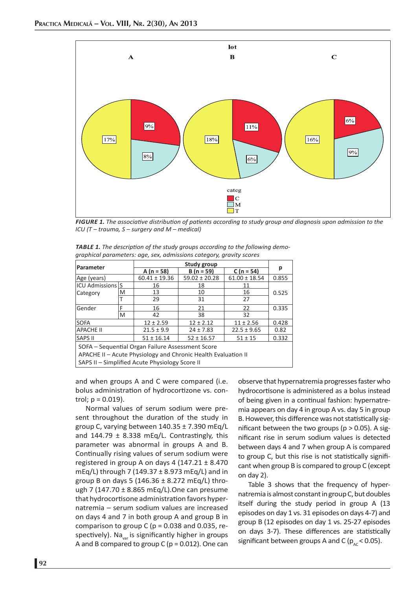

*FIGURE 1. The associati ve distributi on of pati ents according to study group and diagnosis upon admission to the ICU (T – trauma, S – surgery and M – medical)*

| <b>TABLE 1.</b> The description of the study groups according to the following demo- |
|--------------------------------------------------------------------------------------|
| graphical parameters: age, sex, admissions category, gravity scores                  |

|                                                               |   | <b>Study group</b>                          |                   |                   |       |  |  |
|---------------------------------------------------------------|---|---------------------------------------------|-------------------|-------------------|-------|--|--|
| Parameter                                                     |   | A $(n = 58)$<br>$C (n = 54)$<br>$B(n = 59)$ |                   |                   | р     |  |  |
| Age (years)                                                   |   | $60.41 \pm 19.36$                           | $59.02 \pm 20.28$ | $61.00 \pm 18.54$ | 0.855 |  |  |
| <b>ICU Admissions S</b>                                       |   | 16                                          | 18<br>11          |                   |       |  |  |
| Category                                                      | M | 13                                          | 10                | 16                | 0.525 |  |  |
|                                                               |   | 29                                          | 31                | 27                |       |  |  |
| Gender                                                        | F | 16                                          | 21                | 22                | 0.335 |  |  |
|                                                               | M | 42                                          | 38                | 32                |       |  |  |
| <b>SOFA</b>                                                   |   | $12 \pm 2.59$                               | $12 \pm 2.12$     | $11 \pm 2.56$     | 0.428 |  |  |
| <b>APACHE II</b>                                              |   | $21.5 \pm 9.9$                              | $24 \pm 7.83$     | $22.5 \pm 9.65$   | 0.82  |  |  |
| <b>SAPS II</b>                                                |   | $51 \pm 16.14$                              | $52 \pm 16.57$    | $51 \pm 15$       | 0.332 |  |  |
| SOFA – Sequential Organ Failure Assessment Score              |   |                                             |                   |                   |       |  |  |
| APACHE II - Acute Physiology and Chronic Health Evaluation II |   |                                             |                   |                   |       |  |  |
| SAPS II - Simplified Acute Physiology Score II                |   |                                             |                   |                   |       |  |  |

and when groups A and C were compared (i.e. bolus administration of hydrocortizone vs. control;  $p = 0.019$ ).

Normal values of serum sodium were present throughout the duration of the study in group C, varying between 140.35 ± 7.390 mEq/L and  $144.79 \pm 8.338$  mEg/L. Contrastingly, this parameter was abnormal in groups A and B. Continually rising values of serum sodium were registered in group A on days 4 (147.21  $\pm$  8.470 mEq/L) through 7 (149.37  $\pm$  8.973 mEq/L) and in group B on days 5 (146.36 ± 8.272 mEq/L) through 7 (147.70  $\pm$  8.865 mEq/L). One can presume that hydrocortisone administration favors hypernatremia – serum sodium values are increased on days 4 and 7 in both group A and group B in comparison to group C ( $p = 0.038$  and 0.035, respectively). Na<sub>var</sub> is significantly higher in groups A and B compared to group C ( $p = 0.012$ ). One can

observe that hypernatremia progresses faster who hydrocortisone is administered as a bolus instead of being given in a continual fashion: hypernatremia appears on day 4 in group A vs. day 5 in group B. However, this difference was not statistically significant between the two groups ( $p > 0.05$ ). A signifi cant rise in serum sodium values is detected between days 4 and 7 when group A is compared to group C, but this rise is not statistically significant when group B is compared to group C (except on day 2).

Table 3 shows that the frequency of hypernatremia is almost constant in group C, but doubles itself during the study period in group A (13 episodes on day 1 vs. 31 episodes on days 4-7) and group B (12 episodes on day 1 vs. 25-27 episodes on days 3-7). These differences are statistically significant between groups A and C ( $p_{\text{AC}}$  < 0.05).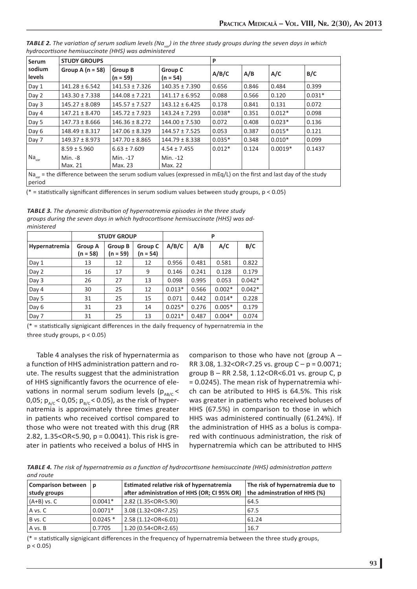| <b>Serum</b>                                                                                                                             | <b>STUDY GROUPS</b> |                              |                       | P        |       |           |          |
|------------------------------------------------------------------------------------------------------------------------------------------|---------------------|------------------------------|-----------------------|----------|-------|-----------|----------|
| sodium<br>levels                                                                                                                         | Group A $(n = 58)$  | <b>Group B</b><br>$(n = 59)$ | Group C<br>$(n = 54)$ | A/B/C    | A/B   | A/C       | B/C      |
| Day 1                                                                                                                                    | $141.28 \pm 6.542$  | $141.53 \pm 7.326$           | $140.35 \pm 7.390$    | 0.656    | 0.846 | 0.484     | 0.399    |
| Day 2                                                                                                                                    | $143.30 \pm 7.338$  | $144.08 \pm 7.221$           | $141.17 \pm 6.952$    | 0.088    | 0.566 | 0.120     | $0.031*$ |
| Day 3                                                                                                                                    | $145.27 \pm 8.089$  | $145.57 \pm 7.527$           | $143.12 \pm 6.425$    | 0.178    | 0.841 | 0.131     | 0.072    |
| Day 4                                                                                                                                    | $147.21 \pm 8.470$  | $145.72 \pm 7.923$           | $143.24 \pm 7.293$    | $0.038*$ | 0.351 | $0.012*$  | 0.098    |
| Day 5                                                                                                                                    | $147.73 \pm 8.666$  | $146.36 \pm 8.272$           | $144.00 \pm 7.530$    | 0.072    | 0.408 | $0.023*$  | 0.136    |
| Day 6                                                                                                                                    | $148.49 \pm 8.317$  | $147.06 \pm 8.329$           | $144.57 \pm 7.525$    | 0.053    | 0.387 | $0.015*$  | 0.121    |
| Day 7                                                                                                                                    | $149.37 \pm 8.973$  | $147.70 \pm 8.865$           | $144.79 \pm 8.338$    | $0.035*$ | 0.348 | $0.010*$  | 0.099    |
|                                                                                                                                          | $8.59 \pm 5.960$    | $6.63 \pm 7.609$             | $4.54 \pm 7.455$      | $0.012*$ | 0.124 | $0.0019*$ | 0.1437   |
| Na <sub>var</sub>                                                                                                                        | Min. -8             | Min. -17                     | Min. -12              |          |       |           |          |
|                                                                                                                                          | Max. 21             | Max. 23                      | Max. 22               |          |       |           |          |
| Na <sub>var</sub> = the difference between the serum sodium values (expressed in mEq/L) on the first and last day of the study<br>period |                     |                              |                       |          |       |           |          |

*TABLE 2. The variation of serum sodium levels (Na<sub>var</sub>) in the three study groups during the seven days in which hydrocorti sone hemisuccinate (HHS) was administered*

( $*$  = statistically significant differences in serum sodium values between study groups,  $p < 0.05$ )

| <b>TABLE 3.</b> The dynamic distribution of hypernatremia episodes in the three study |  |  |  |  |  |  |
|---------------------------------------------------------------------------------------|--|--|--|--|--|--|
| groups during the seven days in which hydrocortisone hemisuccinate (HHS) was ad-      |  |  |  |  |  |  |
| ministered                                                                            |  |  |  |  |  |  |
|                                                                                       |  |  |  |  |  |  |

|               | <b>STUDY GROUP</b>           |                       |                     | P        |       |          |          |
|---------------|------------------------------|-----------------------|---------------------|----------|-------|----------|----------|
| Hypernatremia | <b>Group A</b><br>$(n = 58)$ | Group B<br>$(n = 59)$ | Group C<br>(n = 54) | A/B/C    | A/B   | A/C      | B/C      |
| Day 1         | 13                           | 12                    | 12                  | 0.956    | 0.481 | 0.581    | 0.822    |
| Day 2         | 16                           | 17                    | 9                   | 0.146    | 0.241 | 0.128    | 0.179    |
| Day 3         | 26                           | 27                    | 13                  | 0.098    | 0.995 | 0.053    | $0.042*$ |
| Day 4         | 30                           | 25                    | 12                  | $0.013*$ | 0.566 | $0.002*$ | $0.042*$ |
| Day 5         | 31                           | 25                    | 15                  | 0.071    | 0.442 | $0.014*$ | 0.228    |
| Day 6         | 31                           | 23                    | 14                  | $0.025*$ | 0.276 | $0.005*$ | 0.179    |
| Day 7         | 31                           | 25                    | 13                  | $0.021*$ | 0.487 | $0.004*$ | 0.074    |

 $(* =$  statistically signigicant differences in the daily frequency of hypernatremia in the three study groups,  $p < 0.05$ )

Table 4 analyses the risk of hypernatermia as a function of HHS administration pattern and route. The results suggest that the administration of HHS significantly favors the ocurrence of elevations in normal serum sodium levels ( $p_{AB/C}$ 0,05;  $p_{A/C}$  < 0,05;  $p_{B/C}$  < 0.05), as the risk of hypernatremia is approximately three times greater in patients who received cortisol compared to those who were not treated with this drug (RR 2.82, 1.35<OR<5.90, p = 0.0041). This risk is greater in patients who received a bolus of HHS in

comparison to those who have not (group A – RR 3.08, 1.32<OR<7.25 vs. group  $C - p = 0.0071$ ; group B – RR 2.58, 1.12<OR<6.01 vs. group C, p = 0.0245). The mean risk of hypernatremia which can be atributed to HHS is 64.5%. This risk was greater in patients who received boluses of HHS (67.5%) in comparison to those in which HHS was administered continually (61.24%). If the administration of HHS as a bolus is compared with continuous administration, the risk of hypernatremia which can be attributed to HHS

 $\overline{\phantom{0}}$ 

*TABLE 4. The risk of hypernatremia as a functi on of hydrocorti sone hemisuccinate (HHS) administrati on patt ern and route*

| Comparison between   p<br>study groups |           | Estimated relative risk of hypernatremia<br>after administration of HHS (OR; CI 95% OR) | The risk of hypernatremia due to<br>the adminstration of HHS (%) |
|----------------------------------------|-----------|-----------------------------------------------------------------------------------------|------------------------------------------------------------------|
| $(A+B)$ vs. $C$                        | $0.0041*$ | 2.82 (1.35 <or<5.90)< td=""><td>64.5</td></or<5.90)<>                                   | 64.5                                                             |
| A vs. C                                | $0.0071*$ | 3.08 (1.32 <or<7.25)< td=""><td>67.5</td></or<7.25)<>                                   | 67.5                                                             |
| B vs. C                                | $0.0245*$ | 2.58 (1.12 <or<6.01)< td=""><td>61.24</td></or<6.01)<>                                  | 61.24                                                            |
| A vs. B                                | 0.7705    | 1.20(0.54 <or<2.65)< td=""><td>16.7</td></or<2.65)<>                                    | 16.7                                                             |

 $(* =$  statistically signigicant differences in the frequency of hypernatremia between the three study groups,  $p < 0.05$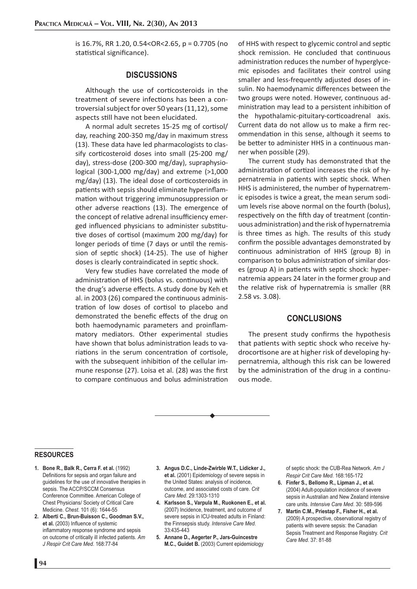is 16.7%, RR 1.20, 0.54<OR<2.65, p = 0.7705 (no statistical significance).

# **DISCUSSIONS**

Although the use of corticosteroids in the treatment of severe infections has been a controversial subject for over 50 years (11,12), some aspects still have not been elucidated.

A normal adult secretes 15-25 mg of cortisol/ day, reaching 200-350 mg/day in maximum stress (13). These data have led pharmacologists to classify corticosteroid doses into small (25-200 mg/ day), stress-dose (200-300 mg/day), supraphysiological (300-1,000 mg/day) and extreme (>1,000 mg/day) (13). The ideal dose of corticosteroids in patients with sepsis should eliminate hyperinflammation without triggering immunosuppression or other adverse reactions (13). The emergence of the concept of relative adrenal insufficiency emerged influenced physicians to administer substitutive doses of cortisol (maximum 200 mg/day) for longer periods of time (7 days or until the remission of septic shock) (14-25). The use of higher doses is clearly contraindicated in septic shock.

Very few studies have correlated the mode of administration of HHS (bolus vs. continuous) with the drug's adverse effects. A study done by Keh et al. in 2003 (26) compared the continuous administration of low doses of cortisol to placebo and demonstrated the benefic effects of the drug on both haemodynamic parameters and proinflammatory mediators. Other experimental studies have shown that bolus administration leads to variations in the serum concentration of cortisole, with the subsequent inhibition of the cellular immune response (27). Loisa et al. (28) was the first to compare continuous and bolus administration

of HHS with respect to glycemic control and septic shock remission. He concluded that continuous administration reduces the number of hyperglycemic episodes and facilitates their control using smaller and less-frequently adjusted doses of insulin. No haemodynamic differences between the two groups were noted. However, continuous administration may lead to a persistent inhibition of the hypothalamic-pituitary-corticoadrenal axis. Current data do not allow us to make a firm recommendation in this sense, although it seems to be better to administer HHS in a continuous manner when possible (29).

The current study has demonstrated that the administration of cortizol increases the risk of hypernatremia in patients with septic shock. When HHS is administered, the number of hypernatremic episodes is twice a great, the mean serum sodium levels rise above normal on the fourth (bolus), respectively on the fifth day of treatment (continuous administration) and the risk of hypernatremia is three times as high. The results of this study confirm the possible advantages demonstrated by continuous administration of HHS (group B) in comparison to bolus administration of similar doses (group A) in patients with septic shock: hypernatremia appears 24 later in the former group and the relative risk of hypernatremia is smaller (RR 2.58 vs. 3.08).

# **CONCLUSIONS**

The present study confirms the hypothesis that patients with septic shock who receive hydrocortisone are at higher risk of developing hypernatremia, although this risk can be lowered by the administration of the drug in a continuous mode.

#### **RESOURCES**

- **1. Bone R., Balk R., Cerra F. et al.** (1992) Definitions for sepsis and organ failure and guidelines for the use of innovative therapies in sepsis. The ACCP/SCCM Consensus Conference Committee. American College of Chest Physicians/ Society of Critical Care Medicine. *Chest*. 101 (6): 1644-55
- **2. Alberti C., Brun-Buisson C., Goodman S.V.,**  et al. (2003) Influence of systemic inflammatory response syndrome and sepsis on outcome of critically ill infected patients. *Am J Respir Crit Care Med*. 168:77-84
- **3. Angus D.C., Linde-Zwirble W.T., Lidicker J., et al.** (2001) Epidemiology of severe sepsis in the United States: analysis of incidence, outcome, and associated costs of care. *Crit Care Med*. 29:1303-1310
- **4. Karlsson S., Varpula M., Ruokonen E., et al.**  (2007) Incidence, treatment, and outcome of severe sepsis in ICU-treated adults in Finland: the Finnsepsis study. *Intensive Care Med*. 33:435-443
- **5. Annane D., Aegerter P., Jars-Guincestre M.C., Guidet B.** (2003) Current epidemiology

of septic shock: the CUB-Rea Network. *Am J Respir Crit Care Med*. 168:165-172

- **6. Finfer S., Bellomo R., Lipman J., et al.** (2004) Adult-population incidence of severe sepsis in Australian and New Zealand intensive care units. *Intensive Care Med*. 30: 589-596
- **7. Martin C.M., Priestap F., Fisher H., et al.** (2009) A prospective, observational registry of patients with severe sepsis: the Canadian Sepsis Treatment and Response Registry. *Crit Care Med*. 37: 81-88